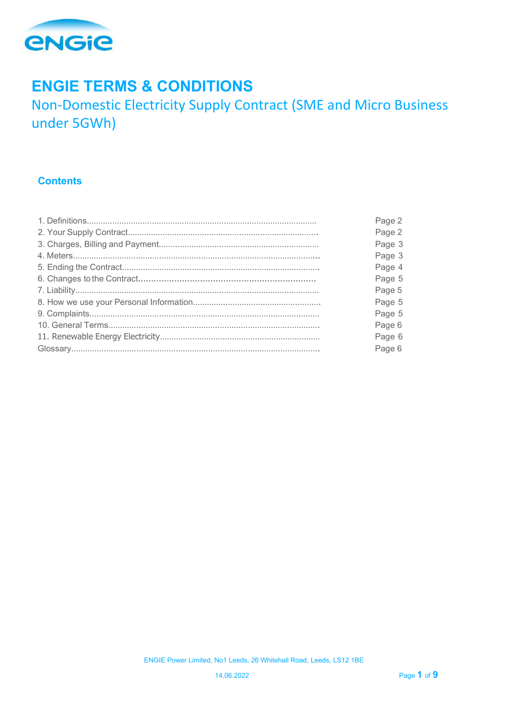

# **ENGIE TERMS & CONDITIONS**

Non-Domestic Electricity Supply Contract (SME and Micro Business under 5GWh)

# **Contents**

| Page 2 |
|--------|
| Page 2 |
| Page 3 |
| Page 3 |
| Page 4 |
| Page 5 |
| Page 5 |
| Page 5 |
| Page 5 |
| Page 6 |
| Page 6 |
| Page 6 |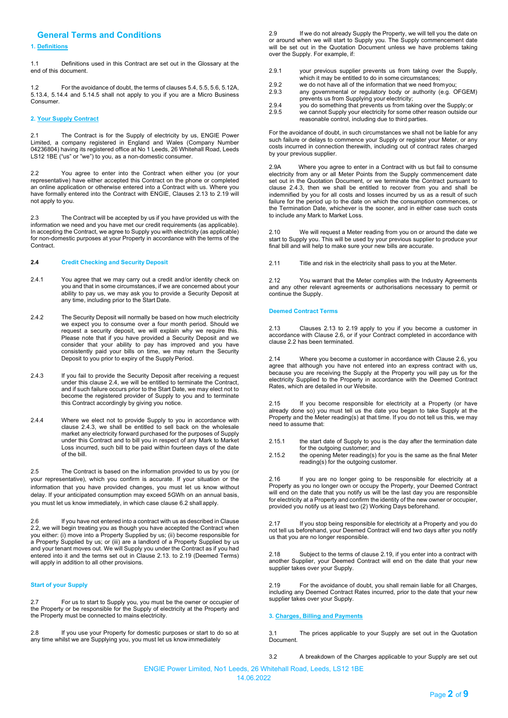# **General Terms and Conditions**

# **1. Definitions**

1.1 Definitions used in this Contract are set out in the Glossary at the end of this document.

1.2 For the avoidance of doubt, the terms of clauses 5.4, 5.5, 5.6, 5.12A, 5.13.4, 5.14.4 and 5.14.5 shall not apply to you if you are a Micro Business **Consumer.** 

# **2. Your Supply Contract**

2.1 The Contract is for the Supply of electricity by us, ENGIE Power Limited, a company registered in England and Wales (Company Number 04236804) having its registered office at No 1 Leeds, 26 Whitehall Road, Leeds LS12 1BE ("us" or "we") to you, as a non-domestic consumer.

2.2 You agree to enter into the Contract when either you (or your representative) have either accepted this Contract on the phone or completed an online application or otherwise entered into a Contract with us. Where you have formally entered into the Contract with ENGIE, Clauses 2.13 to 2.19 will not apply to you.

2.3 The Contract will be accepted by us if you have provided us with the information we need and you have met our credit requirements (as applicable). In accepting the Contract, we agree to Supply you with electricity (as applicable) for non-domestic purposes at your Property in accordance with the terms of the Contract.

#### **2.4 Credit Checking and Security Deposit**

- 2.4.1 You agree that we may carry out a credit and/or identity check on you and that in some circumstances, if we are concerned about your ability to pay us, we may ask you to provide a Security Deposit at any time, including prior to the Start Date.
- 2.4.2 The Security Deposit will normally be based on how much electricity we expect you to consume over a four month period. Should we request a security deposit, we will explain why we require this. Please note that if you have provided a Security Deposit and we consider that your ability to pay has improved and you have consistently paid your bills on time, we may return the Security Deposit to you prior to expiry of the Supply Period.
- 2.4.3 If you fail to provide the Security Deposit after receiving a request under this clause 2.4, we will be entitled to terminate the Contract, and if such failure occurs prior to the Start Date, we may elect not to become the registered provider of Supply to you and to terminate this Contract accordingly by giving you notice.
- 2.4.4 Where we elect not to provide Supply to you in accordance with clause 2.4.3, we shall be entitled to sell back on the wholesale market any electricity forward purchased for the purposes of Supply under this Contract and to bill you in respect of any Mark to Market Loss incurred, such bill to be paid within fourteen days of the date of the bill.

2.5 The Contract is based on the information provided to us by you (or your representative), which you confirm is accurate. If your situation or the information that you have provided changes, you must let us know without delay. If your anticipated consumption may exceed 5GWh on an annual basis, you must let us know immediately, in which case clause 6.2 shall apply.

If you have not entered into a contract with us as described in Clause 2.2, we will begin treating you as though you have accepted the Contract when you either: (i) move into a Property Supplied by us; (ii) become responsible for a Property Supplied by us; or (iii) are a landlord of a Property Supplied by us and your tenant moves out. We will Supply you under the Contract as if you had entered into it and the terms set out in Clause 2.13. to 2.19 (Deemed Terms) will apply in addition to all other provisions.

# **Start of your Supply**

2.7 For us to start to Supply you, you must be the owner or occupier of the Property or be responsible for the Supply of electricity at the Property and the Property must be connected to mains electricity.

2.8 If you use your Property for domestic purposes or start to do so at any time whilst we are Supplying you, you must let us know immediately

2.9 If we do not already Supply the Property, we will tell you the date on or around when we will start to Supply you. The Supply commencement date will be set out in the Quotation Document unless we have problems taking over the Supply. For example, if:

- 2.9.1 your previous supplier prevents us from taking over the Supply, which it may be entitled to do in some circumstances;
- 2.9.2 we do not have all of the information that we need from you;<br>2.9.3 any governmental or requisitory body or authority (e.g. C)
- any governmental or regulatory body or authority (e.g. OFGEM) prevents us from Supplying your electricity; 2.9.4 you do something that prevents us from taking over the Supply; or
- 2.9.5 we cannot Supply your electricity for some other reason outside our reasonable control, including due to third parties.

For the avoidance of doubt, in such circumstances we shall not be liable for any such failure or delays to commence your Supply or register your Meter, or any costs incurred in connection therewith, including out of contract rates charged by your previous supplier.

2.9A Where you agree to enter in a Contract with us but fail to consume electricity from any or all Meter Points from the Supply commencement date set out in the Quotation Document, or we terminate the Contract pursuant to clause 2.4.3, then we shall be entitled to recover from you and shall be indemnified by you for all costs and losses incurred by us as a result of such failure for the period up to the date on which the consumption commences, or the Termination Date, whichever is the sooner, and in either case such costs to include any Mark to Market Loss.

2.10 We will request a Meter reading from you on or around the date we start to Supply you. This will be used by your previous supplier to produce your final bill and will help to make sure your new bills are accurate.

2.11 Title and risk in the electricity shall pass to you at the Meter.

2.12 You warrant that the Meter complies with the Industry Agreements and any other relevant agreements or authorisations necessary to permit or continue the Supply.

#### **Deemed Contract Terms**

2.13 Clauses 2.13 to 2.19 apply to you if you become a customer in accordance with Clause 2.6, or if your Contract completed in accordance with clause 2.2 has been terminated.

2.14 Where you become a customer in accordance with Clause 2.6, you agree that although you have not entered into an express contract with us, because you are receiving the Supply at the Property you will pay us for the electricity Supplied to the Property in accordance with the Deemed Contract Rates, which are detailed in our Website.

2.15 If you become responsible for electricity at a Property (or have already done so) you must tell us the date you began to take Supply at the Property and the Meter reading(s) at that time. If you do not tell us this, we may need to assume that:

- 2.15.1 the start date of Supply to you is the day after the termination date for the outgoing customer; and
- 2.15.2 the opening Meter reading(s) for you is the same as the final Meter reading(s) for the outgoing customer.

2.16 If you are no longer going to be responsible for electricity at a Property as you no longer own or occupy the Property, your Deemed Contract will end on the date that you notify us will be the last day you are responsible for electricity at a Property and confirm the identity of the new owner or occupier, provided you notify us at least two (2) Working Days beforehand.

2.17 If you stop being responsible for electricity at a Property and you do not tell us beforehand, your Deemed Contract will end two days after you notify us that you are no longer responsible.

2.18 Subject to the terms of clause 2.19, if you enter into a contract with another Supplier, your Deemed Contract will end on the date that your new supplier takes over your Supply.

2.19 For the avoidance of doubt, you shall remain liable for all Charges, including any Deemed Contract Rates incurred, prior to the date that your new supplier takes over your Supply.

# **3. Charges, Billing and Payments**

3.1 The prices applicable to your Supply are set out in the Quotation Document.

3.2 A breakdown of the Charges applicable to your Supply are set out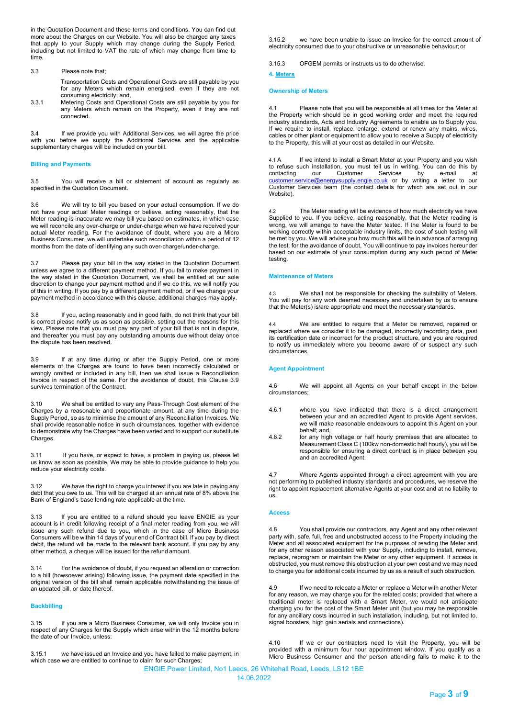in the Quotation Document and these terms and conditions. You can find out more about the Charges on our Website. You will also be charged any taxes that apply to your Supply which may change during the Supply Period, including but not limited to VAT the rate of which may change from time to time.

# 3.3 Please note that;

- Transportation Costs and Operational Costs are still payable by you for any Meters which remain energised, even if they are not consuming electricity; and,
- 3.3.1 Metering Costs and Operational Costs are still payable by you for any Meters which remain on the Property, even if they are not connected.

3.4 If we provide you with Additional Services, we will agree the price with you before we supply the Additional Services and the applicable supplementary charges will be included on your bill.

# **Billing and Payments**

3.5 You will receive a bill or statement of account as regularly as specified in the Quotation Document.

3.6 We will try to bill you based on your actual consumption. If we do not have your actual Meter readings or believe, acting reasonably, that the Meter reading is inaccurate we may bill you based on estimates, in which case we will reconcile any over-charge or under-charge when we have received your actual Meter reading. For the avoidance of doubt, where you are a Micro Business Consumer, we will undertake such reconciliation within a period of 12 months from the date of identifying any such over-charge/under-charge.

3.7 Please pay your bill in the way stated in the Quotation Document unless we agree to a different payment method. If you fail to make payment in the way stated in the Quotation Document, we shall be entitled at our sole discretion to change your payment method and if we do this, we will notify you of this in writing. If you pay by a different payment method, or if we change your payment method in accordance with this clause, additional charges may apply.

3.8 If you, acting reasonably and in good faith, do not think that your bill is correct please notify us as soon as possible, setting out the reasons for this view. Please note that you must pay any part of your bill that is not in dispute, and thereafter you must pay any outstanding amounts due without delay once the dispute has been resolved.

3.9 If at any time during or after the Supply Period, one or more elements of the Charges are found to have been incorrectly calculated or wrongly omitted or included in any bill, then we shall issue a Reconciliation Invoice in respect of the same. For the avoidance of doubt, this Clause 3.9 survives termination of the Contract.

3.10 We shall be entitled to vary any Pass-Through Cost element of the Charges by a reasonable and proportionate amount, at any time during the Supply Period, so as to minimise the amount of any Reconciliation Invoices. We shall provide reasonable notice in such circumstances, together with evidence to demonstrate why the Charges have been varied and to support our substitute Charges.

3.11 If you have, or expect to have, a problem in paying us, please let us know as soon as possible. We may be able to provide guidance to help you reduce your electricity costs.

3.12 We have the right to charge you interest if you are late in paying any debt that you owe to us. This will be charged at an annual rate of 8% above the Bank of England's base lending rate applicable at the time.

3.13 If you are entitled to a refund should you leave ENGIE as your account is in credit following receipt of a final meter reading from you, we will issue any such refund due to you, which in the case of Micro Business Consumers will be within 14 days of your end of Contract bill. If you pay by direct debit, the refund will be made to the relevant bank account. If you pay by any other method, a cheque will be issued for the refund amount.

3.14 For the avoidance of doubt, if you request an alteration or correction to a bill (howsoever arising) following issue, the payment date specified in the original version of the bill shall remain applicable notwithstanding the issue of an updated bill, or date thereof.

#### **Backbilling**

3.15 If you are a Micro Business Consumer, we will only Invoice you in respect of any Charges for the Supply which arise within the 12 months before the date of our Invoice, unless:

3.15.1 we have issued an Invoice and you have failed to make payment, in which case we are entitled to continue to claim for such Charges;

3.15.2 we have been unable to issue an Invoice for the correct amount of electricity consumed due to your obstructive or unreasonable behaviour; or

3.15.3 OFGEM permits or instructs us to do otherwise.

# **4. Meters**

# **Ownership of Meters**

4.1 Please note that you will be responsible at all times for the Meter at the Property which should be in good working order and meet the required industry standards, Acts and Industry Agreements to enable us to Supply you. If we require to install, replace, enlarge, extend or renew any mains, wires, cables or other plant or equipment to allow you to receive a Supply of electricity to the Property, this will at your cost as detailed in our Website.

4.1 A If we intend to install a Smart Meter at your Property and you wish to refuse such installation, you must tell us in writing. You can do this by contacting our Customer Services by e-mail at contacting our Customer Services by e-mail at <u>[customer.service@energysupply.engie.co.uk](mailto:customer.service@energysupply.engie.co.uk)</u> or by writing a letter to our Customer Services team (the contact details for which are set out in our Website).

4.2 The Meter reading will be evidence of how much electricity we have Supplied to you. If you believe, acting reasonably, that the Meter reading is wrong, we will arrange to have the Meter tested. If the Meter is found to be working correctly within acceptable industry limits, the cost of such testing will be met by you. We will advise you how much this will be in advance of arranging the test; for the avoidance of doubt, You will continue to pay invoices hereunder based on our estimate of your consumption during any such period of Meter testing.

# **Maintenance of Meters**

4.3 We shall not be responsible for checking the suitability of Meters. You will pay for any work deemed necessary and undertaken by us to ensure that the Meter(s) is/are appropriate and meet the necessary standards.

We are entitled to require that a Meter be removed, repaired or replaced where we consider it to be damaged, incorrectly recording data, past its certification date or incorrect for the product structure, and you are required to notify us immediately where you become aware of or suspect any such circumstances.

# **Agent Appointment**

4.6 We will appoint all Agents on your behalf except in the below circumstances;

- 4.6.1 where you have indicated that there is a direct arrangement between your and an accredited Agent to provide Agent services, we will make reasonable endeavours to appoint this Agent on your behalf; and,
- 4.6.2 for any high voltage or half hourly premises that are allocated to Measurement Class C (100kw non-domestic half hourly), you will be responsible for ensuring a direct contract is in place between you and an accredited Agent.

4.7 Where Agents appointed through a direct agreement with you are not performing to published industry standards and procedures, we reserve the right to appoint replacement alternative Agents at your cost and at no liability to us.

# **Access**

4.8 You shall provide our contractors, any Agent and any other relevant party with, safe, full, free and unobstructed access to the Property including the Meter and all associated equipment for the purposes of reading the Meter and for any other reason associated with your Supply, including to install, remove, replace, reprogram or maintain the Meter or any other equipment. If access is obstructed, you must remove this obstruction at your own cost and we may need to charge you for additional costs incurred by us as a result of such obstruction.

4.9 If we need to relocate a Meter or replace a Meter with another Meter for any reason, we may charge you for the related costs; provided that where a traditional meter is replaced with a Smart Meter, we would not anticipate charging you for the cost of the Smart Meter unit (but you may be responsible for any ancillary costs incurred in such installation, including, but not limited to, signal boosters, high gain aerials and connections).

4.10 If we or our contractors need to visit the Property, you will be provided with a minimum four hour appointment window. If you qualify as a Micro Business Consumer and the person attending fails to make it to the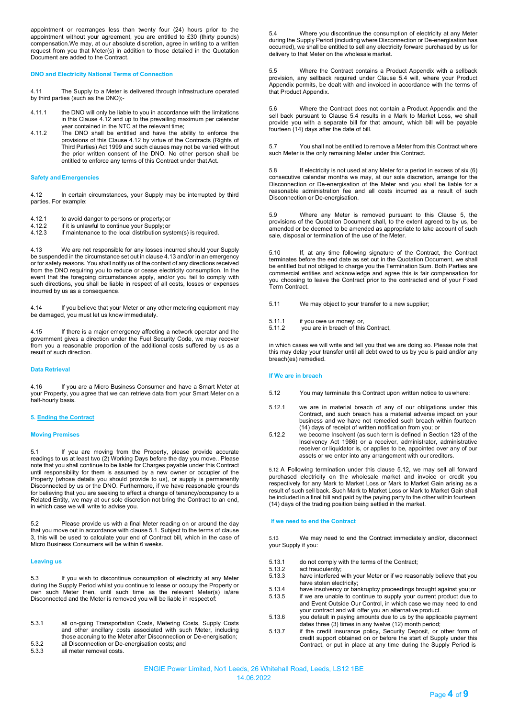appointment or rearranges less than twenty four (24) hours prior to the appointment without your agreement, you are entitled to £30 (thirty pounds) compensation.We may, at our absolute discretion, agree in writing to a written request from you that Meter(s) in addition to those detailed in the Quotation Document are added to the Contract.

# **DNO and Electricity National Terms of Connection**

4.11 The Supply to a Meter is delivered through infrastructure operated by third parties (such as the DNO);-

- 4.11.1 the DNO will only be liable to you in accordance with the limitations in this Clause 4.12 and up to the prevailing maximum per calendar year contained in the NTC at the relevant time;
- 4.11.2 The DNO shall be entitled and have the ability to enforce the provisions of this Clause 4.12 by virtue of the Contracts (Rights of Third Parties) Act 1999 and such clauses may not be varied without the prior written consent of the DNO. No other person shall be entitled to enforce any terms of this Contract under that Act.

#### **Safety and Emergencies**

4.12 In certain circumstances, your Supply may be interrupted by third parties. For example:

- 4.12.1 to avoid danger to persons or property; or 4.12.2 if it is unlawful to continue your Supply: or
- 4.12.2 if it is unlawful to continue your Supply; or
- if maintenance to the local distribution system(s) is required.

4.13 We are not responsible for any losses incurred should your Supply be suspended in the circumstance set out in clause 4.13 and/or in an emergency or for safety reasons. You shall notify us of the content of any directions received from the DNO requiring you to reduce or cease electricity consumption. In the event that the foregoing circumstances apply, and/or you fail to comply with such directions, you shall be liable in respect of all costs, losses or expenses incurred by us as a consequence.

4.14 If you believe that your Meter or any other metering equipment may be damaged, you must let us know immediately.

4.15 If there is a major emergency affecting a network operator and the government gives a direction under the Fuel Security Code, we may recover from you a reasonable proportion of the additional costs suffered by us as a result of such direction.

# **Data Retrieval**

4.16 If you are a Micro Business Consumer and have a Smart Meter at your Property, you agree that we can retrieve data from your Smart Meter on a half-hourly basis.

# **5. Ending the Contract**

#### **Moving Premises**

5.1 If you are moving from the Property, please provide accurate readings to us at least two (2) Working Days before the day you move.. Please note that you shall continue to be liable for Charges payable under this Contract until responsibility for them is assumed by a new owner or occupier of the Property (whose details you should provide to us), or supply is permanently Disconnected by us or the DNO. Furthermore, if we have reasonable grounds for believing that you are seeking to effect a change of tenancy/occupancy to a Related Entity, we may at our sole discretion not bring the Contract to an end, in which case we will write to advise you.

5.2 Please provide us with a final Meter reading on or around the day that you move out in accordance with clause 5.1. Subject to the terms of clause 3, this will be used to calculate your end of Contract bill, which in the case of Micro Business Consumers will be within 6 weeks.

#### **Leaving us**

5.3 If you wish to discontinue consumption of electricity at any Meter during the Supply Period whilst you continue to lease or occupy the Property or own such Meter then, until such time as the relevant Meter(s) is/are Disconnected and the Meter is removed you will be liable in respect of:

- 5.3.1 all on-going Transportation Costs, Metering Costs, Supply Costs and other ancillary costs associated with such Meter, including those accruing to the Meter after Disconnection or De-energisation;
- 5.3.2 all Disconnection or De-energisation costs; and

all meter removal costs.

5.4 Where you discontinue the consumption of electricity at any Meter during the Supply Period (including where Disconnection or De-energisation has occurred), we shall be entitled to sell any electricity forward purchased by us for delivery to that Meter on the wholesale market.

5.5 Where the Contract contains a Product Appendix with a sellback provision, any sellback required under Clause 5.4 will, where your Product Appendix permits, be dealt with and invoiced in accordance with the terms of that Product Appendix.

5.6 Where the Contract does not contain a Product Appendix and the sell back pursuant to Clause 5.4 results in a Mark to Market Loss, we shall provide you with a separate bill for that amount, which bill will be payable fourteen (14) days after the date of bill.

5.7 You shall not be entitled to remove a Meter from this Contract where such Meter is the only remaining Meter under this Contract.

5.8 If electricity is not used at any Meter for a period in excess of six (6) consecutive calendar months we may, at our sole discretion, arrange for the Disconnection or De-energisation of the Meter and you shall be liable for a reasonable administration fee and all costs incurred as a result of such Disconnection or De-energisation.

5.9 Where any Meter is removed pursuant to this Clause 5, the provisions of the Quotation Document shall, to the extent agreed to by us, be amended or be deemed to be amended as appropriate to take account of such sale, disposal or termination of the use of the Meter.

5.10 If, at any time following signature of the Contract, the Contract terminates before the end date as set out in the Quotation Document, we shall be entitled but not obliged to charge you the Termination Sum. Both Parties are commercial entities and acknowledge and agree this is fair compensation for you choosing to leave the Contract prior to the contracted end of your Fixed Term Contract.

5.11 We may object to your transfer to a new supplier;

- 5.11.1 if you owe us money; or,<br>5.11.2 vou are in breach of this
- you are in breach of this Contract,

in which cases we will write and tell you that we are doing so. Please note that this may delay your transfer until all debt owed to us by you is paid and/or any breach(es) remedied.

#### **If We are in breach**

- 5.12 You may terminate this Contract upon written notice to uswhere:
- 5.12.1 we are in material breach of any of our obligations under this Contract, and such breach has a material adverse impact on your business and we have not remedied such breach within fourteen (14) days of receipt of written notification from you; or
- 5.12.2 we become Insolvent (as such term is defined in Section 123 of the Insolvency Act 1986) or a receiver, administrator, administrative receiver or liquidator is, or applies to be, appointed over any of our assets or we enter into any arrangement with our creditors.

5.12 A Following termination under this clause 5.12, we may sell all forward purchased electricity on the wholesale market and invoice or credit you respectively for any Mark to Market Loss or Mark to Market Gain arising as a result of such sell back. Such Mark to Market Loss or Mark to Market Gain shall be included in a final bill and paid by the paying party to the other within fourteen (14) days of the trading position being settled in the market.

# I**f we need to end the Contract**

5.13 We may need to end the Contract immediately and/or, disconnect your Supply if you:

- 5.13.1 do not comply with the terms of the Contract;<br>5.13.2 act fraudulently:
- 5.13.2 act fraudulently;<br>5.13.3 have interfered
- have interfered with your Meter or if we reasonably believe that you
- have stolen electricity; 5.13.4 have insolvency or bankruptcy proceedings brought against you; or 5.13.5 if we are unable to continue to supply your current product due to and Event Outside Our Control, in which case we may need to end your contract and will offer you an alternative product.
- 5.13.6 you default in paying amounts due to us by the applicable payment dates three (3) times in any twelve (12) month period;
- 5.13.7 if the credit insurance policy, Security Deposit, or other form of credit support obtained on or before the start of Supply under this Contract, or put in place at any time during the Supply Period is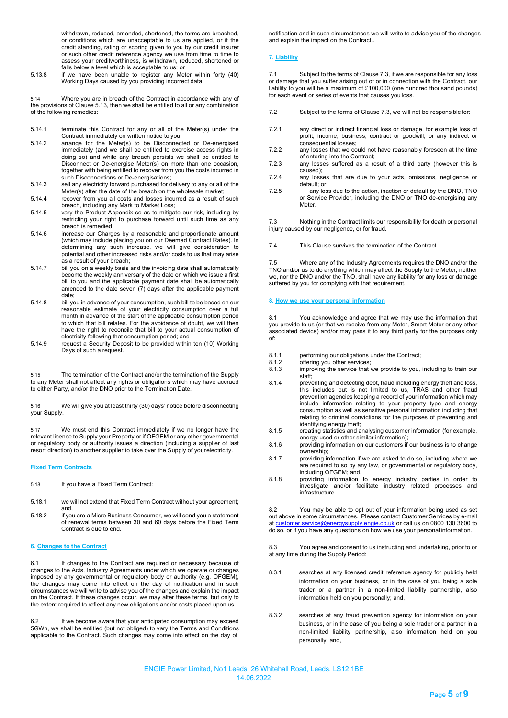withdrawn, reduced, amended, shortened, the terms are breached, or conditions which are unacceptable to us are applied, or if the credit standing, rating or scoring given to you by our credit insurer or such other credit reference agency we use from time to time to assess your creditworthiness, is withdrawn, reduced, shortened or falls below a level which is acceptable to us; or

5.13.8 if we have been unable to register any Meter within forty (40) Working Days caused by you providing incorrect data.

5.14 Where you are in breach of the Contract in accordance with any of the provisions of Clause 5.13, then we shall be entitled to all or any combination of the following remedies:

- 5.14.1 terminate this Contract for any or all of the Meter(s) under the Contract immediately on written notice to you;
- 5.14.2 arrange for the Meter(s) to be Disconnected or De-energised immediately (and we shall be entitled to exercise access rights in doing so) and while any breach persists we shall be entitled to Disconnect or De-energise Meter(s) on more than one occasion, together with being entitled to recover from you the costs incurred in such Disconnections or De-energisations;
- 5.14.3 sell any electricity forward purchased for delivery to any or all of the Meter(s) after the date of the breach on the wholesale market;
- 5.14.4 recover from you all costs and losses incurred as a result of such breach, including any Mark to Market Loss;
- 5.14.5 vary the Product Appendix so as to mitigate our risk, including by restricting your right to purchase forward until such time as any breach is remedied;
- 5.14.6 increase our Charges by a reasonable and proportionate amount (which may include placing you on our Deemed Contract Rates). In determining any such increase, we will give consideration to potential and other increased risks and/or costs to us that may arise as a result of your breach;
- 5.14.7 bill you on a weekly basis and the invoicing date shall automatically become the weekly anniversary of the date on which we issue a first bill to you and the applicable payment date shall be automatically amended to the date seven (7) days after the applicable payment date;
- 5.14.8 bill you in advance of your consumption, such bill to be based on our reasonable estimate of your electricity consumption over a full month in advance of the start of the applicable consumption period to which that bill relates. For the avoidance of doubt, we will then have the right to reconcile that bill to your actual consumption of electricity following that consumption period; and
- 5.14.9 request a Security Deposit to be provided within ten (10) Working Days of such a request.

5.15 The termination of the Contract and/or the termination of the Supply to any Meter shall not affect any rights or obligations which may have accrued to either Party, and/or the DNO prior to the Termination Date.

5.16 We will give you at least thirty (30) days' notice before disconnecting your Supply.

5.17 We must end this Contract immediately if we no longer have the relevant licence to Supply your Property or if OFGEM or any other governmental or regulatory body or authority issues a direction (including a supplier of last resort direction) to another supplier to take over the Supply of your electricity.

# **Fixed Term Contracts**

- 5.18 If you have a Fixed Term Contract:
- 5.18.1 we will not extend that Fixed Term Contract without your agreement; and,
- 5.18.2 if you are a Micro Business Consumer, we will send you a statement of renewal terms between 30 and 60 days before the Fixed Term Contract is due to end.

# **6. Changes to the Contract**

6.1 If changes to the Contract are required or necessary because of changes to the Acts, Industry Agreements under which we operate or changes imposed by any governmental or regulatory body or authority (e.g. OFGEM), the changes may come into effect on the day of notification and in such circumstances we will write to advise you of the changes and explain the impact on the Contract. If these changes occur, we may alter these terms, but only to the extent required to reflect any new obligations and/or costs placed upon us.

6.2 If we become aware that your anticipated consumption may exceed 5GWh, we shall be entitled (but not obliged) to vary the Terms and Conditions applicable to the Contract. Such changes may come into effect on the day of

notification and in such circumstances we will write to advise you of the changes and explain the impact on the Contract..

# **7. Liability**

7.1 Subject to the terms of Clause 7.3, if we are responsible for any loss or damage that you suffer arising out of or in connection with the Contract, our liability to you will be a maximum of £100,000 (one hundred thousand pounds) for each event or series of events that causes you loss.

- 7.2 Subject to the terms of Clause 7.3, we will not be responsiblefor:
- 7.2.1 any direct or indirect financial loss or damage, for example loss of profit, income, business, contract or goodwill, or any indirect or consequential losses;
- 7.2.2 any losses that we could not have reasonably foreseen at the time of entering into the Contract;
- 7.2.3 any losses suffered as a result of a third party (however this is caused);
- 7.2.4 any losses that are due to your acts, omissions, negligence or default; or,
- 7.2.5 any loss due to the action, inaction or default by the DNO, TNO or Service Provider, including the DNO or TNO de-energising any Meter.

7.3 Nothing in the Contract limits our responsibility for death or personal injury caused by our negligence, or for fraud.

7.4 This Clause survives the termination of the Contract.

Where any of the Industry Agreements requires the DNO and/or the TNO and/or us to do anything which may affect the Supply to the Meter, neither we, nor the DNO and/or the TNO, shall have any liability for any loss or damage suffered by you for complying with that requirement.

# **8. How we use your personal information**

8.1 You acknowledge and agree that we may use the information that you provide to us (or that we receive from any Meter, Smart Meter or any other associated device) and/or may pass it to any third party for the purposes only of:

- 8.1.1 performing our obligations under the Contract;<br>8.1.2 offering you other services:
- 8.1.2 offering you other services;<br>8.1.3 improving the service that
- improving the service that we provide to you, including to train our staff;
- 8.1.4 preventing and detecting debt, fraud including energy theft and loss, this includes but is not limited to us, TRAS and other fraud prevention agencies keeping a record of your information which may include information relating to your property type and energy consumption as well as sensitive personal information including that relating to criminal convictions for the purposes of preventing and identifying energy theft;
- 8.1.5 creating statistics and analysing customer information (for example, energy used or other similar information);
- 8.1.6 providing information on our customers if our business is to change ownership;
- 8.1.7 providing information if we are asked to do so, including where we are required to so by any law, or governmental or regulatory body, including OFGEM; and,
- 8.1.8 providing information to energy industry parties in order to investigate and/or facilitate industry related processes and infrastructure.

8.2 You may be able to opt out of your information being used as set out above in some circumstances. Please contact Customer Services by e-mail at [customer.service@energysupply.engie.co.uk](mailto:customer.service@energysupply.engie.co.uk) or call us on 0800 130 3600 to do so, or if you have any questions on how we use your personal information.

8.3 You agree and consent to us instructing and undertaking, prior to or at any time during the Supply Period:

- 8.3.1 searches at any licensed credit reference agency for publicly held information on your business, or in the case of you being a sole trader or a partner in a non-limited liability partnership, also information held on you personally; and,
- 8.3.2 searches at any fraud prevention agency for information on your business, or in the case of you being a sole trader or a partner in a non-limited liability partnership, also information held on you personally; and,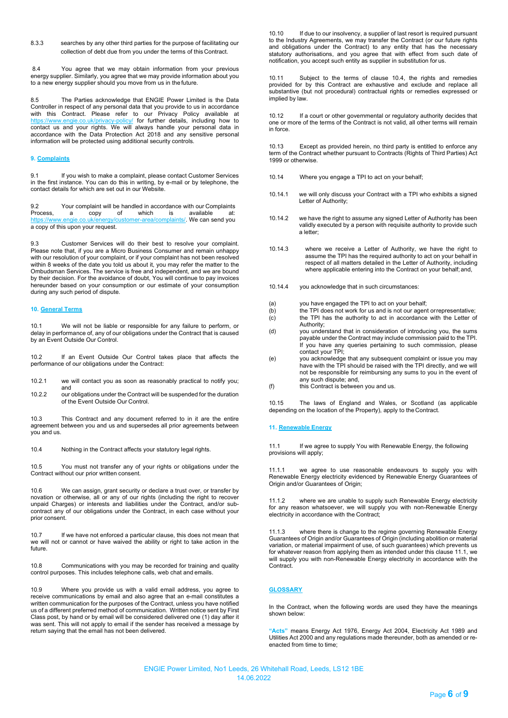8.3.3 searches by any other third parties for the purpose of facilitating our collection of debt due from you under the terms of this Contract.

8.4 You agree that we may obtain information from your previous energy supplier. Similarly, you agree that we may provide information about you to a new energy supplier should you move from us in the future.

8.5 The Parties acknowledge that ENGIE Power Limited is the Data Controller in respect of any personal data that you provide to us in accordance with this Contract. Please refer to our Privacy Policy available at <https://www.engie.co.uk/privacy-policy/> for further details, including how to contact us and your rights. We will always handle your personal data in accordance with the Data Protection Act 2018 and any sensitive personal information will be protected using additional security controls.

# **9. Complaints**

9.1 If you wish to make a complaint, please contact Customer Services in the first instance. You can do this in writing, by e-mail or by telephone, the contact details for which are set out in our Website.

9.2 Your complaint will be handled in accordance with our Complaints<br>Process, a copy of which is available at: Process, a copy of which is available at: [https://www.engie.co.uk/energy/customer-area/complaints/. W](https://www.engie.co.uk/energy/customer-area/complaints/)e can send you a copy of this upon your request.

9.3 Customer Services will do their best to resolve your complaint. Please note that, if you are a Micro Business Consumer and remain unhappy with our resolution of your complaint, or if your complaint has not been resolved within 8 weeks of the date you told us about it, you may refer the matter to the Ombudsman Services. The service is free and independent, and we are bound by their decision. For the avoidance of doubt, You will continue to pay invoices hereunder based on your consumption or our estimate of your consumption during any such period of dispute.

#### **10. General Terms**

10.1 We will not be liable or responsible for any failure to perform, or delay in performance of, any of our obligations under the Contract that is caused by an Event Outside Our Control.

10.2 If an Event Outside Our Control takes place that affects the performance of our obligations under the Contract:

- 10.2.1 we will contact you as soon as reasonably practical to notify you; and
- 10.2.2 our obligations under the Contract will be suspended for the duration of the Event Outside Our Control.

10.3 This Contract and any document referred to in it are the entire agreement between you and us and supersedes all prior agreements between you and us.

10.4 Nothing in the Contract affects your statutory legal rights.

10.5 You must not transfer any of your rights or obligations under the Contract without our prior written consent.

10.6 We can assign, grant security or declare a trust over, or transfer by novation or otherwise, all or any of our rights (including the right to recover unpaid Charges) or interests and liabilities under the Contract, and/or subcontract any of our obligations under the Contract, in each case without your prior consent.

10.7 If we have not enforced a particular clause, this does not mean that we will not or cannot or have waived the ability or right to take action in the future.

10.8 Communications with you may be recorded for training and quality control purposes. This includes telephone calls, web chat and emails.

10.9 Where you provide us with a valid email address, you agree to receive communications by email and also agree that an e-mail constitutes a written communication for the purposes of the Contract, unless you have notified us of a different preferred method of communication. Written notice sent by First Class post, by hand or by email will be considered delivered one (1) day after it was sent. This will not apply to email if the sender has received a message by return saying that the email has not been delivered.

10.10 If due to our insolvency, a supplier of last resort is required pursuant to the Industry Agreements, we may transfer the Contract (or our future rights and obligations under the Contract) to any entity that has the necessary statutory authorisations, and you agree that with effect from such date of notification, you accept such entity as supplier in substitution for us.

10.11 Subject to the terms of clause 10.4, the rights and remedies provided for by this Contract are exhaustive and exclude and replace all substantive (but not procedural) contractual rights or remedies expressed or implied by law.

10.12 If a court or other governmental or regulatory authority decides that one or more of the terms of the Contract is not valid, all other terms will remain in force.

10.13 Except as provided herein, no third party is entitled to enforce any term of the Contract whether pursuant to Contracts (Rights of Third Parties) Act 1999 or otherwise.

- 10.14 Where you engage a TPI to act on your behalf;
- 10.14.1 we will only discuss your Contract with a TPI who exhibits a signed Letter of Authority;
- 10.14.2 we have the right to assume any signed Letter of Authority has been validly executed by a person with requisite authority to provide such a letter;
- 10.14.3 where we receive a Letter of Authority, we have the right to assume the TPI has the required authority to act on your behalf in respect of all matters detailed in the Letter of Authority, including where applicable entering into the Contract on your behalf; and,
- 10.14.4 you acknowledge that in such circumstances:
- (a) you have engaged the TPI to act on your behalf;<br>(b) the TPI does not work for us and is not our agent
- (b) the TPI does not work for us and is not our agent orrepresentative;<br>(c) the TPI has the authority to act in accordance with the Letter of the TPI has the authority to act in accordance with the Letter of Authority;
- (d) you understand that in consideration of introducing you, the sums payable under the Contract may include commission paid to the TPI. If you have any queries pertaining to such commission, please contact your TPI;
- (e) you acknowledge that any subsequent complaint or issue you may have with the TPI should be raised with the TPI directly, and we will not be responsible for reimbursing any sums to you in the event of any such dispute; and,
- (f) this Contract is between you and us.

10.15 The laws of England and Wales, or Scotland (as applicable depending on the location of the Property), apply to the Contract.

#### **11. Renewable Energy**

11.1 If we agree to supply You with Renewable Energy, the following provisions will apply;

11.1.1 we agree to use reasonable endeavours to supply you with Renewable Energy electricity evidenced by Renewable Energy Guarantees of Origin and/or Guarantees of Origin;

11.1.2 where we are unable to supply such Renewable Energy electricity for any reason whatsoever, we will supply you with non-Renewable Energy electricity in accordance with the Contract;

11.1.3 where there is change to the regime governing Renewable Energy Guarantees of Origin and/or Guarantees of Origin (including abolition or material variation, or material impairment of use, of such guarantees) which prevents us for whatever reason from applying them as intended under this clause 11.1, we will supply you with non-Renewable Energy electricity in accordance with the Contract.

#### **GLOSSARY**

In the Contract, when the following words are used they have the meanings shown below:

Acts" means Energy Act 1976, Energy Act 2004, Electricity Act 1989 and Utilities Act 2000 and any regulations made thereunder, both as amended or reenacted from time to time;

ENGIE Power Limited, No1 Leeds, 26 Whitehall Road, Leeds, LS12 1BE 14.06.2022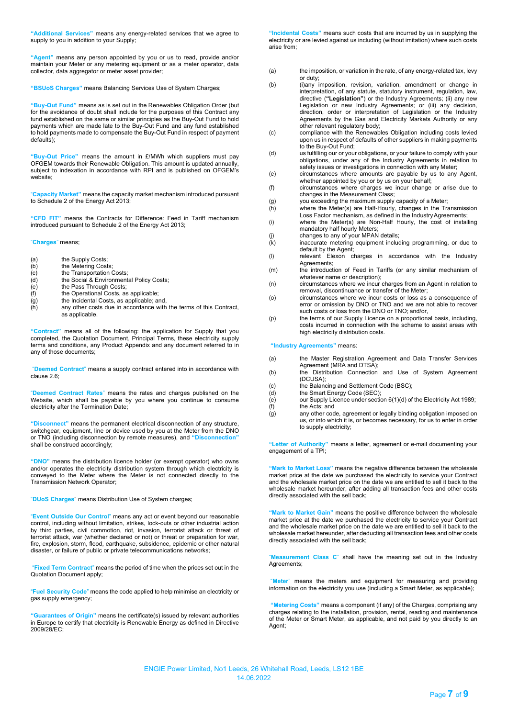**"Additional Services"** means any energy-related services that we agree to supply to you in addition to your Supply;

**"Agent"** means any person appointed by you or us to read, provide and/or maintain your Meter or any metering equipment or as a meter operator, data collector, data aggregator or meter asset provider;

**"BSUoS Charges"** means Balancing Services Use of System Charges;

**"Buy-Out Fund"** means as is set out in the Renewables Obligation Order (but for the avoidance of doubt shall include for the purposes of this Contract any fund established on the same or similar principles as the Buy-Out Fund to hold payments which are made late to the Buy-Out Fund and any fund established to hold payments made to compensate the Buy-Out Fund in respect of payment defaults);

**"Buy-Out Price"** means the amount in £/MWh which suppliers must pay OFGEM towards their Renewable Obligation. This amount is updated annually, subject to indexation in accordance with RPI and is published on OFGEM's website;

"**Capacity Market"** means the capacity market mechanism introduced pursuant to Schedule 2 of the Energy Act 2013;

**"CFD FIT"** means the Contracts for Difference: Feed in Tariff mechanism introduced pursuant to Schedule 2 of the Energy Act 2013;

"**Charges**" means;

- (a) the Supply Costs;<br>(b) the Metering Cost
- (b) the Metering Costs;<br>(c) the Transportation (
- (c) the Transportation Costs;<br>(d) the Social & Environment
- (d) the Social & Environmental Policy Costs;<br>(e) the Pass Through Costs;
- (e) the Pass Through Costs;<br>(f) the Operational Costs, as
- $(f)$  the Operational Costs, as applicable;<br>(g) the Incidental Costs, as applicable; a
- $(9)$  the Incidental Costs, as applicable; and,  $(h)$  any other costs due in accordance with any other costs due in accordance with the terms of this Contract. as applicable.

**"Contract"** means all of the following: the application for Supply that you completed, the Quotation Document, Principal Terms, these electricity supply terms and conditions, any Product Appendix and any document referred to in any of those documents;

"**Deemed Contract**" means a supply contract entered into in accordance with clause 2.6;

"**Deemed Contract Rates**" means the rates and charges published on the Website, which shall be payable by you where you continue to consume electricity after the Termination Date;

**"Disconnect"** means the permanent electrical disconnection of any structure, switchgear, equipment, line or device used by you at the Meter from the DNO or TNO (including disconnection by remote measures), and **"Disconnection"**  shall be construed accordingly;

**"DNO"** means the distribution licence holder (or exempt operator) who owns and/or operates the electricity distribution system through which electricity is conveyed to the Meter where the Meter is not connected directly to the Transmission Network Operator;

"**DUoS Charges**" means Distribution Use of System charges;

"**Event Outside Our Control**" means any act or event beyond our reasonable control, including without limitation, strikes, lock-outs or other industrial action by third parties, civil commotion, riot, invasion, terrorist attack or threat of terrorist attack, war (whether declared or not) or threat or preparation for war, fire, explosion, storm, flood, earthquake, subsidence, epidemic or other natural disaster, or failure of public or private telecommunications networks;

"**Fixed Term Contract**" means the period of time when the prices set out in the Quotation Document apply;

"**Fuel Security Code**" means the code applied to help minimise an electricity or gas supply emergency;

**"Guarantees of Origin"** means the certificate(s) issued by relevant authorities in Europe to certify that electricity is Renewable Energy as defined in Directive 2009/28/EC;

**"Incidental Costs"** means such costs that are incurred by us in supplying the electricity or are levied against us including (without imitation) where such costs arise from;

- (a) the imposition, or variation in the rate, of any energy-related tax, levy or duty;
- (b) (i)any imposition, revision, variation, amendment or change in interpretation, of any statute, statutory instrument, regulation, law, directive (**"Legislation"**) or the Industry Agreements; (ii) any new Legislation or new Industry Agreements; or (iii) any decision, direction, order or interpretation of Legislation or the Industry Agreements by the Gas and Electricity Markets Authority or any other relevant regulatory body;
- (c) compliance with the Renewables Obligation including costs levied upon us in respect of defaults of other suppliers in making payments to the Buy-Out Fund;
- (d) us fulfilling our or your obligations, or your failure to comply with your obligations, under any of the Industry Agreements in relation to safety issues or investigations in connection with any Meter;
- (e) circumstances where amounts are payable by us to any Agent, whether appointed by you or by us on your behalf;
- (f) circumstances where charges we incur change or arise due to changes in the Measurement Class;
- (g) you exceeding the maximum supply capacity of a Meter;
- (h) where the Meter(s) are Half-Hourly, changes in the Transmission Loss Factor mechanism, as defined in the Industry Agreements;
	- (i) where the Meter(s) are Non-Half Hourly, the cost of installing mandatory half hourly Meters;
- (j) changes to any of your MPAN details;
- (k) inaccurate metering equipment including programming, or due to default by the Agent;
- (l) relevant Elexon charges in accordance with the Industry Agreements;
- (m) the introduction of Feed in Tariffs (or any similar mechanism of whatever name or description);
- (n) circumstances where we incur charges from an Agent in relation to removal, discontinuance or transfer of the Meter;
- (o) circumstances where we incur costs or loss as a consequence of error or omission by DNO or TNO and we are not able to recover such costs or loss from the DNO or TNO; and/or,
- (p) the terms of our Supply Licence on a proportional basis, including, costs incurred in connection with the scheme to assist areas with high electricity distribution costs.

#### **"Industry Agreements"** means:

- (a) the Master Registration Agreement and Data Transfer Services Agreement (MRA and DTSA);
- (b) the Distribution Connection and Use of System Agreement (DCUSA);
- (c) the Balancing and Settlement Code (BSC);
- (d) the Smart Energy Code (SEC);<br>(e) our Supply Licence under section
- $\overrightarrow{e}$  our Supply Licence under section 6(1)(d) of the Electricity Act 1989;<br>(f) the Acts; and  $(f)$  the Acts; and  $(g)$  any other cod
- any other code, agreement or legally binding obligation imposed on us, or into which it is, or becomes necessary, for us to enter in order to supply electricity;

**"Letter of Authority"** means a letter, agreement or e-mail documenting your engagement of a TPI;

**"Mark to Market Loss"** means the negative difference between the wholesale market price at the date we purchased the electricity to service your Contract and the wholesale market price on the date we are entitled to sell it back to the wholesale market hereunder, after adding all transaction fees and other costs directly associated with the sell back;

**"Mark to Market Gain"** means the positive difference between the wholesale market price at the date we purchased the electricity to service your Contract and the wholesale market price on the date we are entitled to sell it back to the wholesale market hereunder, after deducting all transaction fees and other costs directly associated with the sell back;

"**Measurement Class C**" shall have the meaning set out in the Industry Agreements;

"**Meter**" means the meters and equipment for measuring and providing information on the electricity you use (including a Smart Meter, as applicable);

**"Metering Costs"** means a component (if any) of the Charges, comprising any charges relating to the installation, provision, rental, reading and maintenance of the Meter or Smart Meter, as applicable, and not paid by you directly to an Agent;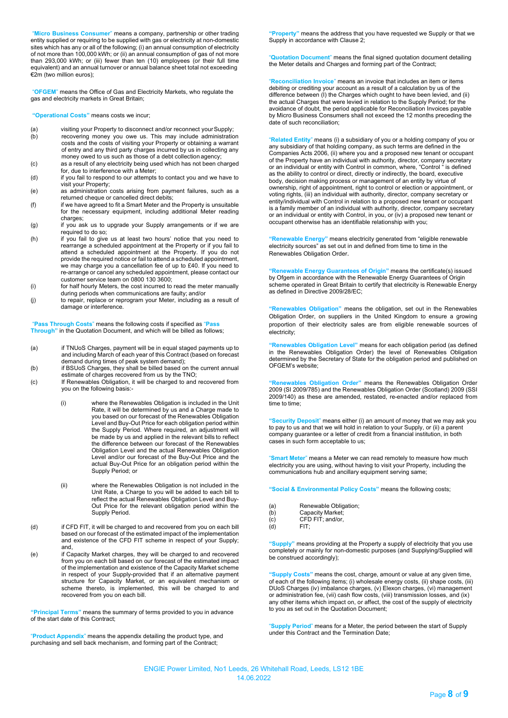"**Micro Business Consumer**" means a company, partnership or other trading entity supplied or requiring to be supplied with gas or electricity at non-domestic sites which has any or all of the following; (i) an annual consumption of electricity of not more than 100,000 kWh; or (ii) an annual consumption of gas of not more than 293,000 kWh; or (iii) fewer than ten (10) employees (or their full time equivalent) and an annual turnover or annual balance sheet total not exceeding €2m (two million euros);

"**OFGEM**" means the Office of Gas and Electricity Markets, who regulate the gas and electricity markets in Great Britain;

**"Operational Costs"** means costs we incur;

- (a) visiting your Property to disconnect and/or reconnect your Supply;<br>(b) recovering money you owe us. This may include administration
- recovering money you owe us. This may include administration costs and the costs of visiting your Property or obtaining a warrant of entry and any third party charges incurred by us in collecting any money owed to us such as those of a debt collection agency;
- (c) as a result of any electricity being used which has not been charged for, due to interference with a Meter; (d) if you fail to respond to our attempts to contact you and we have to
- visit your Property;
- (e) as administration costs arising from payment failures, such as a returned cheque or cancelled direct debits;
- (f) if we have agreed to fit a Smart Meter and the Property is unsuitable for the necessary equipment, including additional Meter reading charges;
- (g) if you ask us to upgrade your Supply arrangements or if we are required to do so;
- (h) if you fail to give us at least two hours' notice that you need to rearrange a scheduled appointment at the Property or if you fail to attend a scheduled appointment at the Property. If you do not provide the required notice or fail to attend a scheduled appointment, we may charge you a cancellation fee of up to £40. If you need to re-arrange or cancel any scheduled appointment, please contact our customer service team on 0800 130 3600;
- (i) for half hourly Meters, the cost incurred to read the meter manually during periods when communications are faulty; and/or
- (j) to repair, replace or reprogram your Meter, including as a result of damage or interference.

"**Pass Through Costs**" means the following costs if specified as "**Pass Through"** in the Quotation Document, and which will be billed as follows;

- (a) if TNUoS Charges, payment will be in equal staged payments up to and including March of each year of this Contract (based on forecast demand during times of peak system demand);
- (b) if BSUoS Charges, they shall be billed based on the current annual estimate of charges recovered from us by the TNO;
- (c) If Renewables Obligation, it will be charged to and recovered from you on the following basis:-
	- (i) where the Renewables Obligation is included in the Unit Rate, it will be determined by us and a Charge made to you based on our forecast of the Renewables Obligation Level and Buy-Out Price for each obligation period within the Supply Period. Where required, an adjustment will be made by us and applied in the relevant bills to reflect the difference between our forecast of the Renewables Obligation Level and the actual Renewables Obligation Level and/or our forecast of the Buy-Out Price and the actual Buy-Out Price for an obligation period within the Supply Period; or
	- (ii) where the Renewables Obligation is not included in the Unit Rate, a Charge to you will be added to each bill to reflect the actual Renewables Obligation Level and Buy-Out Price for the relevant obligation period within the Supply Period.
- (d) if CFD FIT, it will be charged to and recovered from you on each bill based on our forecast of the estimated impact of the implementation and existence of the CFD FIT scheme in respect of your Supply; and,
- (e) if Capacity Market charges, they will be charged to and recovered from you on each bill based on our forecast of the estimated impact of the implementation and existence of the Capacity Market scheme in respect of your Supply-provided that if an alternative payment structure for Capacity Market, or an equivalent mechanism or scheme thereto, is implemented, this will be charged to and recovered from you on each bill.

**"Principal Terms"** means the summary of terms provided to you in advance of the start date of this Contract;

"**Product Appendix**" means the appendix detailing the product type, and purchasing and sell back mechanism, and forming part of the Contract;

Property" means the address that you have requested we Supply or that we Supply in accordance with Clause 2;

"**Quotation Document**" means the final signed quotation document detailing the Meter details and Charges and forming part of the Contract;

"**Reconciliation Invoice**" means an invoice that includes an item or items debiting or crediting your account as a result of a calculation by us of the difference between (I) the Charges which ought to have been levied, and (ii) the actual Charges that were levied in relation to the Supply Period; for the avoidance of doubt, the period applicable for Reconciliation Invoices payable by Micro Business Consumers shall not exceed the 12 months preceding the date of such reconciliation;

"**Related Entity**" means (i) a subsidiary of you or a holding company of you or any subsidiary of that holding company, as such terms are defined in the Companies Acts 2006, (ii) where you and a proposed new tenant or occupant of the Property have an individual with authority, director, company secretary or an individual or entity with Control in common, where, "Control " is defined as the ability to control or direct, directly or indirectly, the board, executive body, decision making process or management of an entity by virtue of ownership, right of appointment, right to control or election or appointment, or voting rights, (iii) an individual with authority, director, company secretary or entity/individual with Control in relation to a proposed new tenant or occupant is a family member of an individual with authority, director, company secretary or an individual or entity with Control, in you, or (iv) a proposed new tenant or occupant otherwise has an identifiable relationship with you;

**"Renewable Energy"** means electricity generated from "eligible renewable electricity sources" as set out in and defined from time to time in the Renewables Obligation Order.

**"Renewable Energy Guarantees of Origin"** means the certificate(s) issued by Ofgem in accordance with the Renewable Energy Guarantees of Origin scheme operated in Great Britain to certify that electricity is Renewable Energy as defined in Directive 2009/28/EC;

**"Renewables Obligation"** means the obligation, set out in the Renewables Obligation Order, on suppliers in the United Kingdom to ensure a growing proportion of their electricity sales are from eligible renewable sources of electricity;

ables Obligation Level" means for each obligation period (as defined in the Renewables Obligation Order) the level of Renewables Obligation determined by the Secretary of State for the obligation period and published on OFGEM's website;

ables Obligation Order" means the Renewables Obligation Order 2009 (SI 2009/785) and the Renewables Obligation Order (Scotland) 2009 (SSI 2009/140) as these are amended, restated, re-enacted and/or replaced from time to time;

**"Security Deposit**" means either (i) an amount of money that we may ask you to pay to us and that we will hold in relation to your Supply, or (ii) a parent company guarantee or a letter of credit from a financial institution, in both cases in such form acceptable to us;

"**Smart Meter**" means a Meter we can read remotely to measure how much electricity you are using, without having to visit your Property, including the communications hub and ancillary equipment serving same;

**"Social & Environmental Policy Costs"** means the following costs;

| (a)        | Renewable Obligation;                                                                                                                                                                                                                                                                                                              |
|------------|------------------------------------------------------------------------------------------------------------------------------------------------------------------------------------------------------------------------------------------------------------------------------------------------------------------------------------|
| (b)        | Capacity Market;                                                                                                                                                                                                                                                                                                                   |
| $\sqrt{ }$ | $\mathsf{A}$ $\mathsf{A}$ $\mathsf{B}$ $\mathsf{B}$ $\mathsf{B}$ $\mathsf{B}$ $\mathsf{B}$ $\mathsf{B}$ $\mathsf{B}$ $\mathsf{B}$ $\mathsf{B}$ $\mathsf{B}$ $\mathsf{B}$ $\mathsf{B}$ $\mathsf{B}$ $\mathsf{B}$ $\mathsf{B}$ $\mathsf{B}$ $\mathsf{B}$ $\mathsf{B}$ $\mathsf{B}$ $\mathsf{B}$ $\mathsf{B}$ $\mathsf{B}$ $\mathsf{$ |

- (c) CFD FIT; and/or,<br>(d) FIT;
- $FIT;$

**"Supply"** means providing at the Property a supply of electricity that you use completely or mainly for non-domestic purposes (and Supplying/Supplied will be construed accordingly);

**"Supply Costs"** means the cost, charge, amount or value at any given time, of each of the following items; (i) wholesale energy costs, (ii) shape costs, (iii) DUoS Charges (iv) imbalance charges, (v) Elexon charges, (vi) management or administration fee, (vii) cash flow costs, (viii) transmission losses, and (ix) any other items which impact on, or affect, the cost of the supply of electricity to you as set out in the Quotation Document;

"**Supply Period**" means for a Meter, the period between the start of Supply under this Contract and the Termination Date;